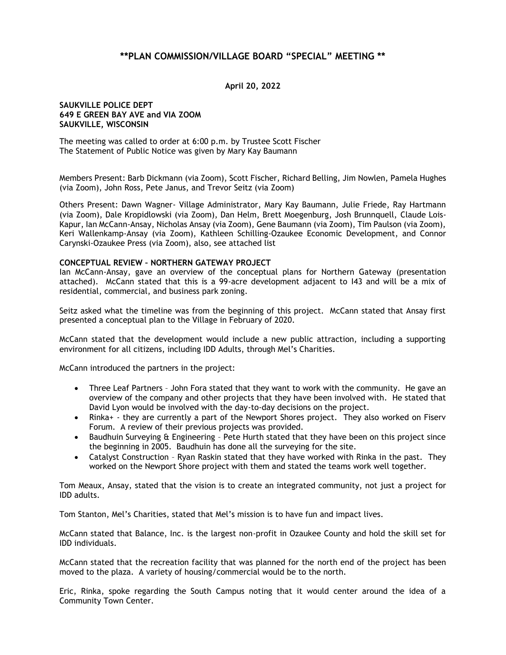## **\*\*PLAN COMMISSION/VILLAGE BOARD "SPECIAL" MEETING \*\***

**April 20, 2022**

## **SAUKVILLE POLICE DEPT 649 E GREEN BAY AVE and VIA ZOOM SAUKVILLE, WISCONSIN**

The meeting was called to order at 6:00 p.m. by Trustee Scott Fischer The Statement of Public Notice was given by Mary Kay Baumann

Members Present: Barb Dickmann (via Zoom), Scott Fischer, Richard Belling, Jim Nowlen, Pamela Hughes (via Zoom), John Ross, Pete Janus, and Trevor Seitz (via Zoom)

Others Present: Dawn Wagner- Village Administrator, Mary Kay Baumann, Julie Friede, Ray Hartmann (via Zoom), Dale Kropidlowski (via Zoom), Dan Helm, Brett Moegenburg, Josh Brunnquell, Claude Lois-Kapur, Ian McCann-Ansay, Nicholas Ansay (via Zoom), Gene Baumann (via Zoom), Tim Paulson (via Zoom), Keri Wallenkamp-Ansay (via Zoom), Kathleen Schilling-Ozaukee Economic Development, and Connor Carynski-Ozaukee Press (via Zoom), also, see attached list

## **CONCEPTUAL REVIEW – NORTHERN GATEWAY PROJECT**

Ian McCann-Ansay, gave an overview of the conceptual plans for Northern Gateway (presentation attached). McCann stated that this is a 99-acre development adjacent to I43 and will be a mix of residential, commercial, and business park zoning.

Seitz asked what the timeline was from the beginning of this project. McCann stated that Ansay first presented a conceptual plan to the Village in February of 2020.

McCann stated that the development would include a new public attraction, including a supporting environment for all citizens, including IDD Adults, through Mel's Charities.

McCann introduced the partners in the project:

- Three Leaf Partners John Fora stated that they want to work with the community. He gave an overview of the company and other projects that they have been involved with. He stated that David Lyon would be involved with the day-to-day decisions on the project.
- Rinka+ they are currently a part of the Newport Shores project. They also worked on Fiserv Forum. A review of their previous projects was provided.
- Baudhuin Surveying & Engineering Pete Hurth stated that they have been on this project since the beginning in 2005. Baudhuin has done all the surveying for the site.
- Catalyst Construction Ryan Raskin stated that they have worked with Rinka in the past. They worked on the Newport Shore project with them and stated the teams work well together.

Tom Meaux, Ansay, stated that the vision is to create an integrated community, not just a project for IDD adults.

Tom Stanton, Mel's Charities, stated that Mel's mission is to have fun and impact lives.

McCann stated that Balance, Inc. is the largest non-profit in Ozaukee County and hold the skill set for IDD individuals.

McCann stated that the recreation facility that was planned for the north end of the project has been moved to the plaza. A variety of housing/commercial would be to the north.

Eric, Rinka, spoke regarding the South Campus noting that it would center around the idea of a Community Town Center.